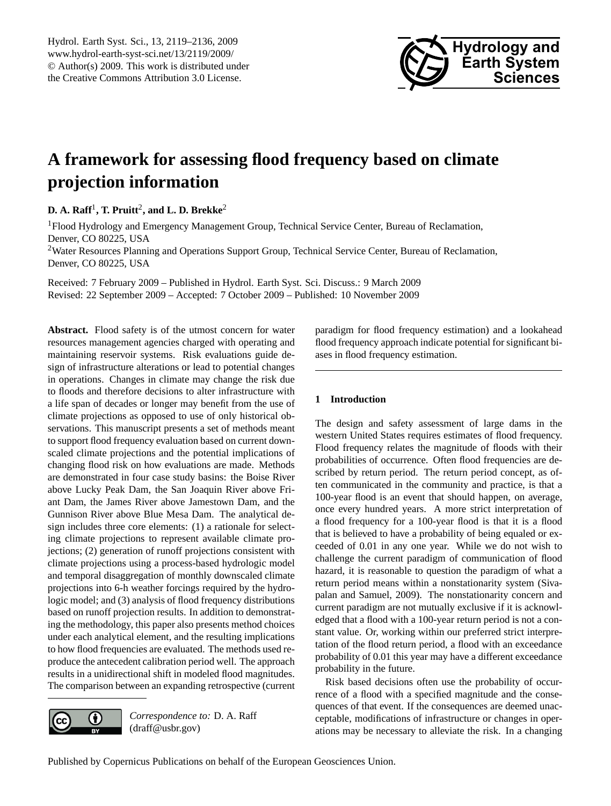

# <span id="page-0-0"></span>**A framework for assessing flood frequency based on climate projection information**

## **D. A. Raff**<sup>1</sup> **, T. Pruitt**<sup>2</sup> **, and L. D. Brekke**<sup>2</sup>

<sup>1</sup>Flood Hydrology and Emergency Management Group, Technical Service Center, Bureau of Reclamation, Denver, CO 80225, USA <sup>2</sup>Water Resources Planning and Operations Support Group, Technical Service Center, Bureau of Reclamation, Denver, CO 80225, USA

Received: 7 February 2009 – Published in Hydrol. Earth Syst. Sci. Discuss.: 9 March 2009 Revised: 22 September 2009 – Accepted: 7 October 2009 – Published: 10 November 2009

**Abstract.** Flood safety is of the utmost concern for water resources management agencies charged with operating and maintaining reservoir systems. Risk evaluations guide design of infrastructure alterations or lead to potential changes in operations. Changes in climate may change the risk due to floods and therefore decisions to alter infrastructure with a life span of decades or longer may benefit from the use of climate projections as opposed to use of only historical observations. This manuscript presents a set of methods meant to support flood frequency evaluation based on current downscaled climate projections and the potential implications of changing flood risk on how evaluations are made. Methods are demonstrated in four case study basins: the Boise River above Lucky Peak Dam, the San Joaquin River above Friant Dam, the James River above Jamestown Dam, and the Gunnison River above Blue Mesa Dam. The analytical design includes three core elements: (1) a rationale for selecting climate projections to represent available climate projections; (2) generation of runoff projections consistent with climate projections using a process-based hydrologic model and temporal disaggregation of monthly downscaled climate projections into 6-h weather forcings required by the hydrologic model; and (3) analysis of flood frequency distributions based on runoff projection results. In addition to demonstrating the methodology, this paper also presents method choices under each analytical element, and the resulting implications to how flood frequencies are evaluated. The methods used reproduce the antecedent calibration period well. The approach results in a unidirectional shift in modeled flood magnitudes. The comparison between an expanding retrospective (current



*Correspondence to:* D. A. Raff (draff@usbr.gov)

paradigm for flood frequency estimation) and a lookahead flood frequency approach indicate potential for significant biases in flood frequency estimation.

## **1 Introduction**

The design and safety assessment of large dams in the western United States requires estimates of flood frequency. Flood frequency relates the magnitude of floods with their probabilities of occurrence. Often flood frequencies are described by return period. The return period concept, as often communicated in the community and practice, is that a 100-year flood is an event that should happen, on average, once every hundred years. A more strict interpretation of a flood frequency for a 100-year flood is that it is a flood that is believed to have a probability of being equaled or exceeded of 0.01 in any one year. While we do not wish to challenge the current paradigm of communication of flood hazard, it is reasonable to question the paradigm of what a return period means within a nonstationarity system (Sivapalan and Samuel, 2009). The nonstationarity concern and current paradigm are not mutually exclusive if it is acknowledged that a flood with a 100-year return period is not a constant value. Or, working within our preferred strict interpretation of the flood return period, a flood with an exceedance probability of 0.01 this year may have a different exceedance probability in the future.

Risk based decisions often use the probability of occurrence of a flood with a specified magnitude and the consequences of that event. If the consequences are deemed unacceptable, modifications of infrastructure or changes in operations may be necessary to alleviate the risk. In a changing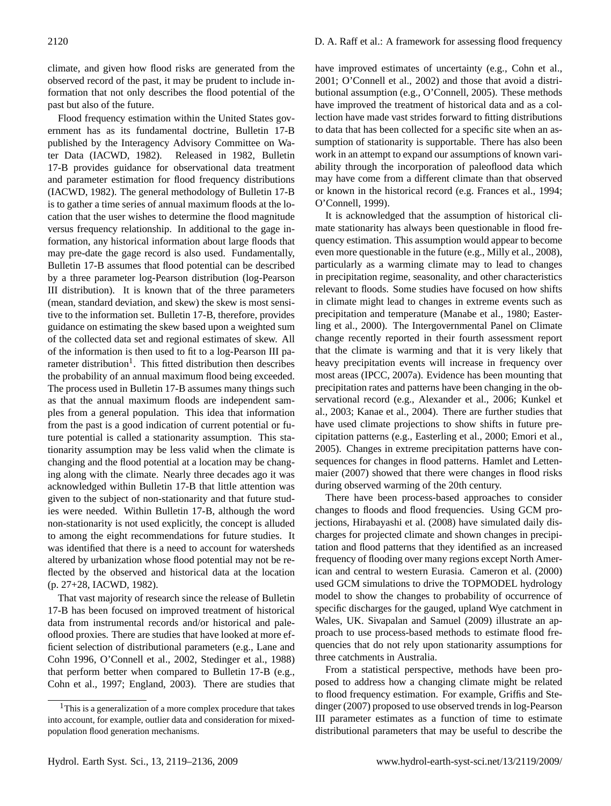climate, and given how flood risks are generated from the observed record of the past, it may be prudent to include information that not only describes the flood potential of the past but also of the future.

Flood frequency estimation within the United States government has as its fundamental doctrine, Bulletin 17-B published by the Interagency Advisory Committee on Water Data (IACWD, 1982). Released in 1982, Bulletin 17-B provides guidance for observational data treatment and parameter estimation for flood frequency distributions (IACWD, 1982). The general methodology of Bulletin 17-B is to gather a time series of annual maximum floods at the location that the user wishes to determine the flood magnitude versus frequency relationship. In additional to the gage information, any historical information about large floods that may pre-date the gage record is also used. Fundamentally, Bulletin 17-B assumes that flood potential can be described by a three parameter log-Pearson distribution (log-Pearson III distribution). It is known that of the three parameters (mean, standard deviation, and skew) the skew is most sensitive to the information set. Bulletin 17-B, therefore, provides guidance on estimating the skew based upon a weighted sum of the collected data set and regional estimates of skew. All of the information is then used to fit to a log-Pearson III pa-rameter distribution<sup>[1](#page-1-0)</sup>. This fitted distribution then describes the probability of an annual maximum flood being exceeded. The process used in Bulletin 17-B assumes many things such as that the annual maximum floods are independent samples from a general population. This idea that information from the past is a good indication of current potential or future potential is called a stationarity assumption. This stationarity assumption may be less valid when the climate is changing and the flood potential at a location may be changing along with the climate. Nearly three decades ago it was acknowledged within Bulletin 17-B that little attention was given to the subject of non-stationarity and that future studies were needed. Within Bulletin 17-B, although the word non-stationarity is not used explicitly, the concept is alluded to among the eight recommendations for future studies. It was identified that there is a need to account for watersheds altered by urbanization whose flood potential may not be reflected by the observed and historical data at the location (p. 27+28, IACWD, 1982).

That vast majority of research since the release of Bulletin 17-B has been focused on improved treatment of historical data from instrumental records and/or historical and paleoflood proxies. There are studies that have looked at more efficient selection of distributional parameters (e.g., Lane and Cohn 1996, O'Connell et al., 2002, Stedinger et al., 1988) that perform better when compared to Bulletin 17-B (e.g., Cohn et al., 1997; England, 2003). There are studies that have improved estimates of uncertainty (e.g., Cohn et al., 2001; O'Connell et al., 2002) and those that avoid a distributional assumption (e.g., O'Connell, 2005). These methods have improved the treatment of historical data and as a collection have made vast strides forward to fitting distributions to data that has been collected for a specific site when an assumption of stationarity is supportable. There has also been work in an attempt to expand our assumptions of known variability through the incorporation of paleoflood data which may have come from a different climate than that observed or known in the historical record (e.g. Frances et al., 1994; O'Connell, 1999).

It is acknowledged that the assumption of historical climate stationarity has always been questionable in flood frequency estimation. This assumption would appear to become even more questionable in the future (e.g., Milly et al., 2008), particularly as a warming climate may to lead to changes in precipitation regime, seasonality, and other characteristics relevant to floods. Some studies have focused on how shifts in climate might lead to changes in extreme events such as precipitation and temperature (Manabe et al., 1980; Easterling et al., 2000). The Intergovernmental Panel on Climate change recently reported in their fourth assessment report that the climate is warming and that it is very likely that heavy precipitation events will increase in frequency over most areas (IPCC, 2007a). Evidence has been mounting that precipitation rates and patterns have been changing in the observational record (e.g., Alexander et al., 2006; Kunkel et al., 2003; Kanae et al., 2004). There are further studies that have used climate projections to show shifts in future precipitation patterns (e.g., Easterling et al., 2000; Emori et al., 2005). Changes in extreme precipitation patterns have consequences for changes in flood patterns. Hamlet and Lettenmaier (2007) showed that there were changes in flood risks during observed warming of the 20th century.

There have been process-based approaches to consider changes to floods and flood frequencies. Using GCM projections, Hirabayashi et al. (2008) have simulated daily discharges for projected climate and shown changes in precipitation and flood patterns that they identified as an increased frequency of flooding over many regions except North American and central to western Eurasia. Cameron et al. (2000) used GCM simulations to drive the TOPMODEL hydrology model to show the changes to probability of occurrence of specific discharges for the gauged, upland Wye catchment in Wales, UK. Sivapalan and Samuel (2009) illustrate an approach to use process-based methods to estimate flood frequencies that do not rely upon stationarity assumptions for three catchments in Australia.

From a statistical perspective, methods have been proposed to address how a changing climate might be related to flood frequency estimation. For example, Griffis and Stedinger (2007) proposed to use observed trends in log-Pearson III parameter estimates as a function of time to estimate distributional parameters that may be useful to describe the

<span id="page-1-0"></span><sup>&</sup>lt;sup>1</sup>This is a generalization of a more complex procedure that takes into account, for example, outlier data and consideration for mixedpopulation flood generation mechanisms.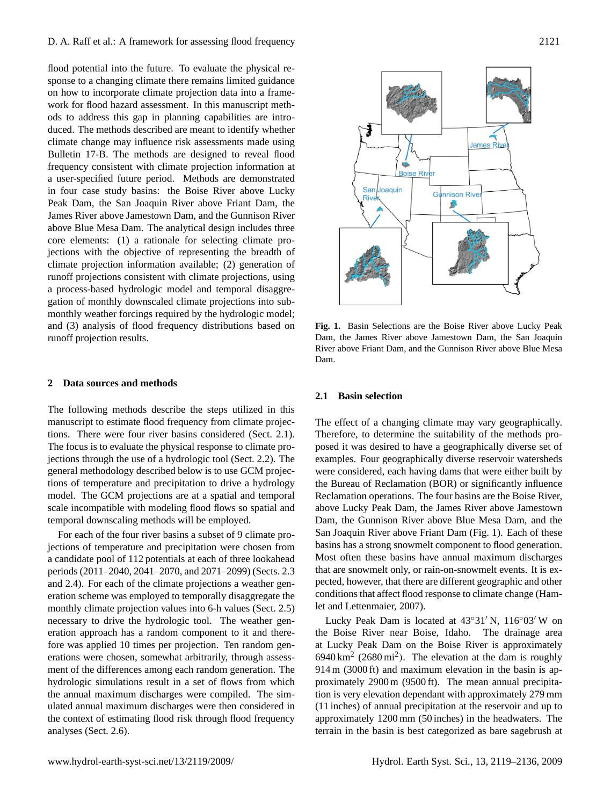flood potential into the future. To evaluate the physical response to a changing climate there remains limited guidance on how to incorporate climate projection data into a framework for flood hazard assessment. In this manuscript methods to address this gap in planning capabilities are introduced. The methods described are meant to identify whether climate change may influence risk assessments made using Bulletin 17-B. The methods are designed to reveal flood frequency consistent with climate projection information at a user-specified future period. Methods are demonstrated in four case study basins: the Boise River above Lucky Peak Dam, the San Joaquin River above Friant Dam, the James River above Jamestown Dam, and the Gunnison River above Blue Mesa Dam. The analytical design includes three core elements: (1) a rationale for selecting climate projections with the objective of representing the breadth of climate projection information available; (2) generation of runoff projections consistent with climate projections, using a process-based hydrologic model and temporal disaggregation of monthly downscaled climate projections into submonthly weather forcings required by the hydrologic model; and (3) analysis of flood frequency distributions based on runoff projection results.

## **2 Data sources and methods**

The following methods describe the steps utilized in this manuscript to estimate flood frequency from climate projections. There were four river basins considered (Sect. 2.1). The focus is to evaluate the physical response to climate projections through the use of a hydrologic tool (Sect. 2.2). The general methodology described below is to use GCM projections of temperature and precipitation to drive a hydrology model. The GCM projections are at a spatial and temporal scale incompatible with modeling flood flows so spatial and temporal downscaling methods will be employed.

For each of the four river basins a subset of 9 climate projections of temperature and precipitation were chosen from a candidate pool of 112 potentials at each of three lookahead periods (2011–2040, 2041–2070, and 2071–2099) (Sects. 2.3 and 2.4). For each of the climate projections a weather generation scheme was employed to temporally disaggregate the monthly climate projection values into 6-h values (Sect. 2.5) necessary to drive the hydrologic tool. The weather generation approach has a random component to it and therefore was applied 10 times per projection. Ten random generations were chosen, somewhat arbitrarily, through assessment of the differences among each random generation. The hydrologic simulations result in a set of flows from which the annual maximum discharges were compiled. The simulated annual maximum discharges were then considered in the context of estimating flood risk through flood frequency analyses (Sect. 2.6).



**Fig. 1.** Basin Selections are the Boise River above Lucky Peak Dam, the James River above Jamestown Dam, the San Joaquin River above Friant Dam, and the Gunnison River above Blue Mesa Dam.

## **2.1 Basin selection**

The effect of a changing climate may vary geographically. Therefore, to determine the suitability of the methods proposed it was desired to have a geographically diverse set of examples. Four geographically diverse reservoir watersheds were considered, each having dams that were either built by the Bureau of Reclamation (BOR) or significantly influence Reclamation operations. The four basins are the Boise River, above Lucky Peak Dam, the James River above Jamestown Dam, the Gunnison River above Blue Mesa Dam, and the San Joaquin River above Friant Dam (Fig. 1). Each of these basins has a strong snowmelt component to flood generation. Most often these basins have annual maximum discharges that are snowmelt only, or rain-on-snowmelt events. It is expected, however, that there are different geographic and other conditions that affect flood response to climate change (Hamlet and Lettenmaier, 2007).

Lucky Peak Dam is located at  $43°31'N$ ,  $116°03'W$  on the Boise River near Boise, Idaho. The drainage area at Lucky Peak Dam on the Boise River is approximately  $6940 \text{ km}^2$  (2680 mi<sup>2</sup>). The elevation at the dam is roughly 914 m (3000 ft) and maximum elevation in the basin is approximately 2900 m (9500 ft). The mean annual precipitation is very elevation dependant with approximately 279 mm (11 inches) of annual precipitation at the reservoir and up to approximately 1200 mm (50 inches) in the headwaters. The terrain in the basin is best categorized as bare sagebrush at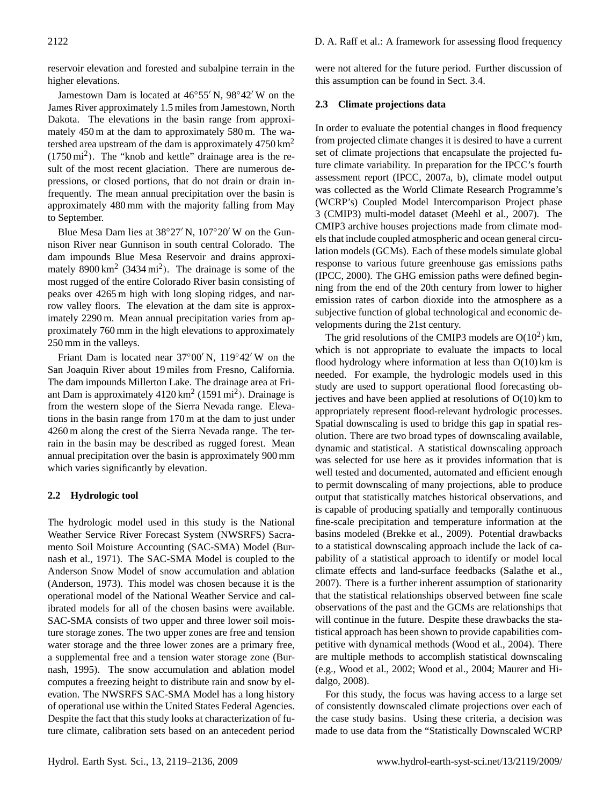reservoir elevation and forested and subalpine terrain in the higher elevations.

Jamestown Dam is located at  $46°55'$  N,  $98°42'$  W on the James River approximately 1.5 miles from Jamestown, North Dakota. The elevations in the basin range from approximately 450 m at the dam to approximately 580 m. The watershed area upstream of the dam is approximately  $4750 \,\mathrm{km}^2$  $(1750 \text{ mi}^2)$ . The "knob and kettle" drainage area is the result of the most recent glaciation. There are numerous depressions, or closed portions, that do not drain or drain infrequently. The mean annual precipitation over the basin is approximately 480 mm with the majority falling from May to September.

Blue Mesa Dam lies at  $38°27'$  N,  $107°20'$  W on the Gunnison River near Gunnison in south central Colorado. The dam impounds Blue Mesa Reservoir and drains approximately  $8900 \text{ km}^2$  (3434 mi<sup>2</sup>). The drainage is some of the most rugged of the entire Colorado River basin consisting of peaks over 4265 m high with long sloping ridges, and narrow valley floors. The elevation at the dam site is approximately 2290 m. Mean annual precipitation varies from approximately 760 mm in the high elevations to approximately 250 mm in the valleys.

Friant Dam is located near  $37°00'$  N,  $119°42'$  W on the San Joaquin River about 19 miles from Fresno, California. The dam impounds Millerton Lake. The drainage area at Friant Dam is approximately 4120 km<sup>2</sup> (1591 mi<sup>2</sup>). Drainage is from the western slope of the Sierra Nevada range. Elevations in the basin range from 170 m at the dam to just under 4260 m along the crest of the Sierra Nevada range. The terrain in the basin may be described as rugged forest. Mean annual precipitation over the basin is approximately 900 mm which varies significantly by elevation.

## **2.2 Hydrologic tool**

The hydrologic model used in this study is the National Weather Service River Forecast System (NWSRFS) Sacramento Soil Moisture Accounting (SAC-SMA) Model (Burnash et al., 1971). The SAC-SMA Model is coupled to the Anderson Snow Model of snow accumulation and ablation (Anderson, 1973). This model was chosen because it is the operational model of the National Weather Service and calibrated models for all of the chosen basins were available. SAC-SMA consists of two upper and three lower soil moisture storage zones. The two upper zones are free and tension water storage and the three lower zones are a primary free, a supplemental free and a tension water storage zone (Burnash, 1995). The snow accumulation and ablation model computes a freezing height to distribute rain and snow by elevation. The NWSRFS SAC-SMA Model has a long history of operational use within the United States Federal Agencies. Despite the fact that this study looks at characterization of future climate, calibration sets based on an antecedent period were not altered for the future period. Further discussion of this assumption can be found in Sect. 3.4.

## **2.3 Climate projections data**

In order to evaluate the potential changes in flood frequency from projected climate changes it is desired to have a current set of climate projections that encapsulate the projected future climate variability. In preparation for the IPCC's fourth assessment report (IPCC, 2007a, b), climate model output was collected as the World Climate Research Programme's (WCRP's) Coupled Model Intercomparison Project phase 3 (CMIP3) multi-model dataset (Meehl et al., 2007). The CMIP3 archive houses projections made from climate models that include coupled atmospheric and ocean general circulation models (GCMs). Each of these models simulate global response to various future greenhouse gas emissions paths (IPCC, 2000). The GHG emission paths were defined beginning from the end of the 20th century from lower to higher emission rates of carbon dioxide into the atmosphere as a subjective function of global technological and economic developments during the 21st century.

The grid resolutions of the CMIP3 models are  $O(10^2)$  km, which is not appropriate to evaluate the impacts to local flood hydrology where information at less than O(10) km is needed. For example, the hydrologic models used in this study are used to support operational flood forecasting objectives and have been applied at resolutions of O(10) km to appropriately represent flood-relevant hydrologic processes. Spatial downscaling is used to bridge this gap in spatial resolution. There are two broad types of downscaling available, dynamic and statistical. A statistical downscaling approach was selected for use here as it provides information that is well tested and documented, automated and efficient enough to permit downscaling of many projections, able to produce output that statistically matches historical observations, and is capable of producing spatially and temporally continuous fine-scale precipitation and temperature information at the basins modeled (Brekke et al., 2009). Potential drawbacks to a statistical downscaling approach include the lack of capability of a statistical approach to identify or model local climate effects and land-surface feedbacks (Salathe et al., 2007). There is a further inherent assumption of stationarity that the statistical relationships observed between fine scale observations of the past and the GCMs are relationships that will continue in the future. Despite these drawbacks the statistical approach has been shown to provide capabilities competitive with dynamical methods (Wood et al., 2004). There are multiple methods to accomplish statistical downscaling (e.g., Wood et al., 2002; Wood et al., 2004; Maurer and Hidalgo, 2008).

For this study, the focus was having access to a large set of consistently downscaled climate projections over each of the case study basins. Using these criteria, a decision was made to use data from the "Statistically Downscaled WCRP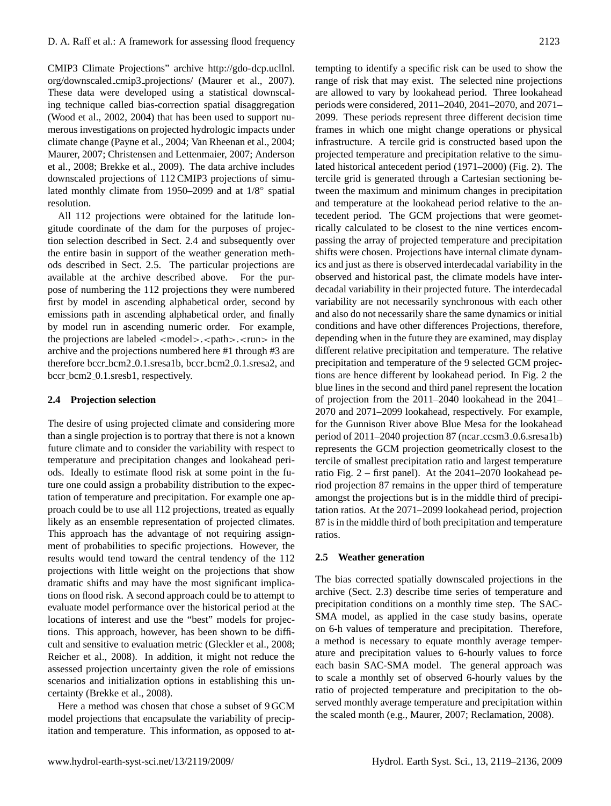CMIP3 Climate Projections" archive [http://gdo-dcp.ucllnl.](http://gdo-dcp.ucllnl.org/downscaled_cmip3_projections/) [org/downscaled](http://gdo-dcp.ucllnl.org/downscaled_cmip3_projections/) cmip3 projections/ (Maurer et al., 2007). These data were developed using a statistical downscaling technique called bias-correction spatial disaggregation (Wood et al., 2002, 2004) that has been used to support numerous investigations on projected hydrologic impacts under climate change (Payne et al., 2004; Van Rheenan et al., 2004; Maurer, 2007; Christensen and Lettenmaier, 2007; Anderson et al., 2008; Brekke et al., 2009). The data archive includes downscaled projections of 112 CMIP3 projections of simulated monthly climate from 1950–2099 and at 1/8<sup>°</sup> spatial resolution.

All 112 projections were obtained for the latitude longitude coordinate of the dam for the purposes of projection selection described in Sect. 2.4 and subsequently over the entire basin in support of the weather generation methods described in Sect. 2.5. The particular projections are available at the archive described above. For the purpose of numbering the 112 projections they were numbered first by model in ascending alphabetical order, second by emissions path in ascending alphabetical order, and finally by model run in ascending numeric order. For example, the projections are labeled <model>.<path>.<run> in the archive and the projections numbered here #1 through #3 are therefore bccr\_bcm2\_0.1.sresa1b, bccr\_bcm2\_0.1.sresa2, and bccr bcm2 0.1.sresb1, respectively.

## **2.4 Projection selection**

The desire of using projected climate and considering more than a single projection is to portray that there is not a known future climate and to consider the variability with respect to temperature and precipitation changes and lookahead periods. Ideally to estimate flood risk at some point in the future one could assign a probability distribution to the expectation of temperature and precipitation. For example one approach could be to use all 112 projections, treated as equally likely as an ensemble representation of projected climates. This approach has the advantage of not requiring assignment of probabilities to specific projections. However, the results would tend toward the central tendency of the 112 projections with little weight on the projections that show dramatic shifts and may have the most significant implications on flood risk. A second approach could be to attempt to evaluate model performance over the historical period at the locations of interest and use the "best" models for projections. This approach, however, has been shown to be difficult and sensitive to evaluation metric (Gleckler et al., 2008; Reicher et al., 2008). In addition, it might not reduce the assessed projection uncertainty given the role of emissions scenarios and initialization options in establishing this uncertainty (Brekke et al., 2008).

Here a method was chosen that chose a subset of 9 GCM model projections that encapsulate the variability of precipitation and temperature. This information, as opposed to attempting to identify a specific risk can be used to show the range of risk that may exist. The selected nine projections are allowed to vary by lookahead period. Three lookahead periods were considered, 2011–2040, 2041–2070, and 2071– 2099. These periods represent three different decision time frames in which one might change operations or physical infrastructure. A tercile grid is constructed based upon the projected temperature and precipitation relative to the simulated historical antecedent period (1971–2000) (Fig. 2). The tercile grid is generated through a Cartesian sectioning between the maximum and minimum changes in precipitation and temperature at the lookahead period relative to the antecedent period. The GCM projections that were geometrically calculated to be closest to the nine vertices encompassing the array of projected temperature and precipitation shifts were chosen. Projections have internal climate dynamics and just as there is observed interdecadal variability in the observed and historical past, the climate models have interdecadal variability in their projected future. The interdecadal variability are not necessarily synchronous with each other and also do not necessarily share the same dynamics or initial conditions and have other differences Projections, therefore, depending when in the future they are examined, may display different relative precipitation and temperature. The relative precipitation and temperature of the 9 selected GCM projections are hence different by lookahead period. In Fig. 2 the blue lines in the second and third panel represent the location of projection from the 2011–2040 lookahead in the 2041– 2070 and 2071–2099 lookahead, respectively. For example, for the Gunnison River above Blue Mesa for the lookahead period of 2011–2040 projection 87 (ncar\_ccsm3\_0.6.sresa1b) represents the GCM projection geometrically closest to the tercile of smallest precipitation ratio and largest temperature ratio Fig. 2 – first panel). At the 2041–2070 lookahead period projection 87 remains in the upper third of temperature amongst the projections but is in the middle third of precipitation ratios. At the 2071–2099 lookahead period, projection 87 is in the middle third of both precipitation and temperature ratios.

### **2.5 Weather generation**

The bias corrected spatially downscaled projections in the archive (Sect. 2.3) describe time series of temperature and precipitation conditions on a monthly time step. The SAC-SMA model, as applied in the case study basins, operate on 6-h values of temperature and precipitation. Therefore, a method is necessary to equate monthly average temperature and precipitation values to 6-hourly values to force each basin SAC-SMA model. The general approach was to scale a monthly set of observed 6-hourly values by the ratio of projected temperature and precipitation to the observed monthly average temperature and precipitation within the scaled month (e.g., Maurer, 2007; Reclamation, 2008).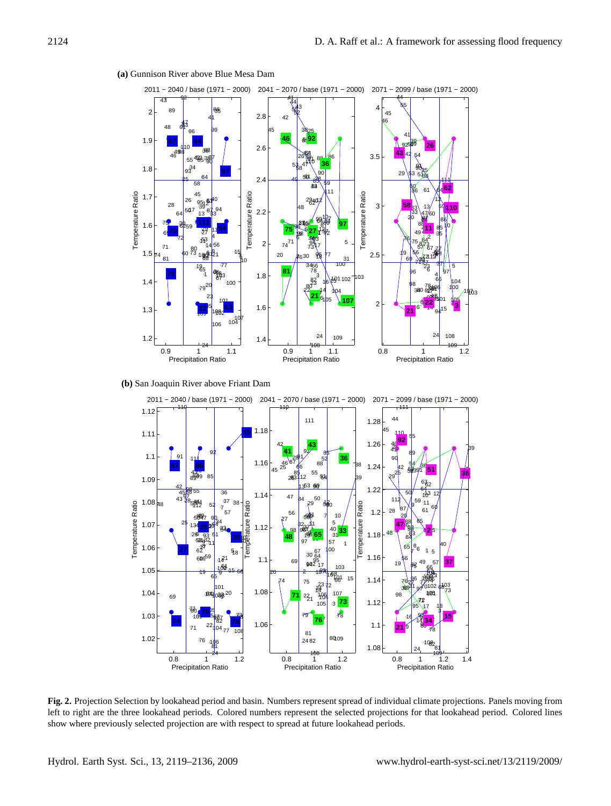

**(a)** Gunnison River above Blue Mesa Dam

**(b)** San Joaquin River above Friant Dam



**Fig. 2.** Projection Selection by lookahead period and basin. Numbers represent spread of individual climate projections. Panels moving from left to right are the three lookahead periods. Colored numbers represent the selected projections for that lookahead period. Colored lines show where previously selected projection are with respect to spread at future lookahead periods.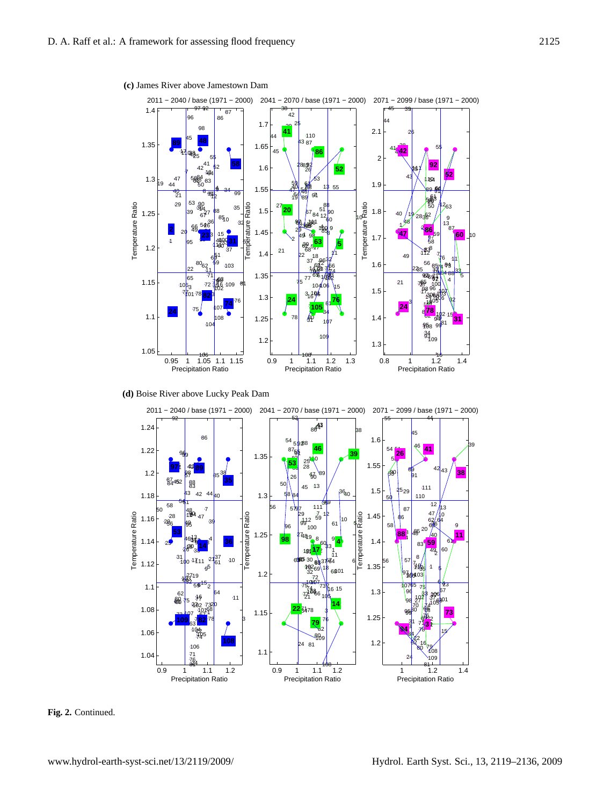

#### **(c)** James River above Jamestown Dam





**Fig. 2.** Continued.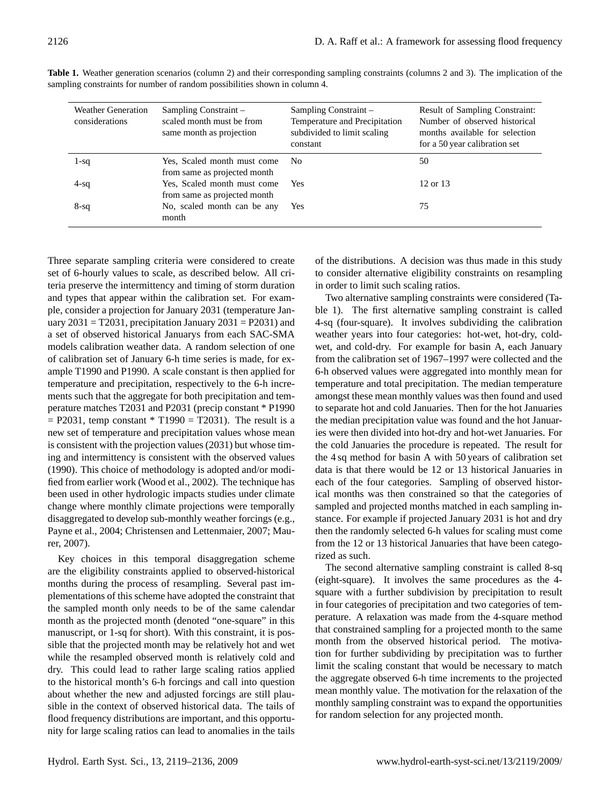| <b>Weather Generation</b><br>considerations | Sampling Constraint –<br>scaled month must be from<br>same month as projection | Sampling Constraint –<br>Temperature and Precipitation<br>subdivided to limit scaling<br>constant | <b>Result of Sampling Constraint:</b><br>Number of observed historical<br>months available for selection<br>for a 50 year calibration set |
|---------------------------------------------|--------------------------------------------------------------------------------|---------------------------------------------------------------------------------------------------|-------------------------------------------------------------------------------------------------------------------------------------------|
| $1-Sq$                                      | Yes, Scaled month must come<br>from same as projected month                    | N <sub>0</sub>                                                                                    | 50                                                                                                                                        |
| $4-sq$                                      | Yes, Scaled month must come<br>from same as projected month                    | <b>Yes</b>                                                                                        | 12 or 13                                                                                                                                  |
| $8-Sq$                                      | No, scaled month can be any<br>month                                           | <b>Yes</b>                                                                                        | 75                                                                                                                                        |

**Table 1.** Weather generation scenarios (column 2) and their corresponding sampling constraints (columns 2 and 3). The implication of the sampling constraints for number of random possibilities shown in column 4.

Three separate sampling criteria were considered to create set of 6-hourly values to scale, as described below. All criteria preserve the intermittency and timing of storm duration and types that appear within the calibration set. For example, consider a projection for January 2031 (temperature January  $2031 = T2031$ , precipitation January  $2031 = P2031$ ) and a set of observed historical Januarys from each SAC-SMA models calibration weather data. A random selection of one of calibration set of January 6-h time series is made, for example T1990 and P1990. A scale constant is then applied for temperature and precipitation, respectively to the 6-h increments such that the aggregate for both precipitation and temperature matches T2031 and P2031 (precip constant \* P1990  $=$  P2031, temp constant  $*$  T1990  $=$  T2031). The result is a new set of temperature and precipitation values whose mean is consistent with the projection values (2031) but whose timing and intermittency is consistent with the observed values (1990). This choice of methodology is adopted and/or modified from earlier work (Wood et al., 2002). The technique has been used in other hydrologic impacts studies under climate change where monthly climate projections were temporally disaggregated to develop sub-monthly weather forcings (e.g., Payne et al., 2004; Christensen and Lettenmaier, 2007; Maurer, 2007).

Key choices in this temporal disaggregation scheme are the eligibility constraints applied to observed-historical months during the process of resampling. Several past implementations of this scheme have adopted the constraint that the sampled month only needs to be of the same calendar month as the projected month (denoted "one-square" in this manuscript, or 1-sq for short). With this constraint, it is possible that the projected month may be relatively hot and wet while the resampled observed month is relatively cold and dry. This could lead to rather large scaling ratios applied to the historical month's 6-h forcings and call into question about whether the new and adjusted forcings are still plausible in the context of observed historical data. The tails of flood frequency distributions are important, and this opportunity for large scaling ratios can lead to anomalies in the tails of the distributions. A decision was thus made in this study to consider alternative eligibility constraints on resampling in order to limit such scaling ratios.

Two alternative sampling constraints were considered (Table 1). The first alternative sampling constraint is called 4-sq (four-square). It involves subdividing the calibration weather years into four categories: hot-wet, hot-dry, coldwet, and cold-dry. For example for basin A, each January from the calibration set of 1967–1997 were collected and the 6-h observed values were aggregated into monthly mean for temperature and total precipitation. The median temperature amongst these mean monthly values was then found and used to separate hot and cold Januaries. Then for the hot Januaries the median precipitation value was found and the hot Januaries were then divided into hot-dry and hot-wet Januaries. For the cold Januaries the procedure is repeated. The result for the 4 sq method for basin A with 50 years of calibration set data is that there would be 12 or 13 historical Januaries in each of the four categories. Sampling of observed historical months was then constrained so that the categories of sampled and projected months matched in each sampling instance. For example if projected January 2031 is hot and dry then the randomly selected 6-h values for scaling must come from the 12 or 13 historical Januaries that have been categorized as such.

The second alternative sampling constraint is called 8-sq (eight-square). It involves the same procedures as the 4 square with a further subdivision by precipitation to result in four categories of precipitation and two categories of temperature. A relaxation was made from the 4-square method that constrained sampling for a projected month to the same month from the observed historical period. The motivation for further subdividing by precipitation was to further limit the scaling constant that would be necessary to match the aggregate observed 6-h time increments to the projected mean monthly value. The motivation for the relaxation of the monthly sampling constraint was to expand the opportunities for random selection for any projected month.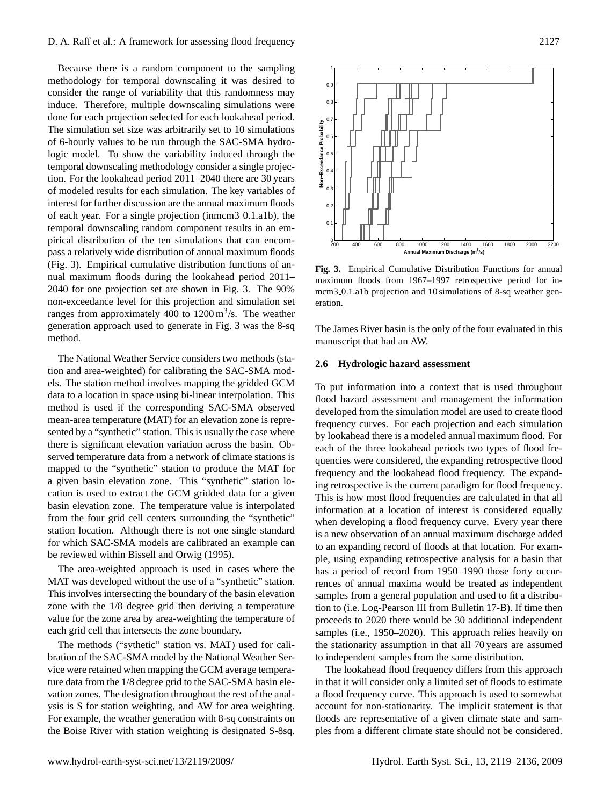## D. A. Raff et al.: A framework for assessing flood frequency 2127

Because there is a random component to the sampling methodology for temporal downscaling it was desired to consider the range of variability that this randomness may induce. Therefore, multiple downscaling simulations were done for each projection selected for each lookahead period. The simulation set size was arbitrarily set to 10 simulations of 6-hourly values to be run through the SAC-SMA hydrologic model. To show the variability induced through the temporal downscaling methodology consider a single projection. For the lookahead period 2011–2040 there are 30 years of modeled results for each simulation. The key variables of interest for further discussion are the annual maximum floods of each year. For a single projection (inmcm3 0.1.a1b), the temporal downscaling random component results in an empirical distribution of the ten simulations that can encompass a relatively wide distribution of annual maximum floods (Fig. 3). Empirical cumulative distribution functions of annual maximum floods during the lookahead period 2011– 2040 for one projection set are shown in Fig. 3. The 90% non-exceedance level for this projection and simulation set ranges from approximately 400 to  $1200 \,\mathrm{m}^3/\mathrm{s}$ . The weather generation approach used to generate in Fig. 3 was the 8-sq method.

The National Weather Service considers two methods (station and area-weighted) for calibrating the SAC-SMA models. The station method involves mapping the gridded GCM data to a location in space using bi-linear interpolation. This method is used if the corresponding SAC-SMA observed mean-area temperature (MAT) for an elevation zone is represented by a "synthetic" station. This is usually the case where there is significant elevation variation across the basin. Observed temperature data from a network of climate stations is mapped to the "synthetic" station to produce the MAT for a given basin elevation zone. This "synthetic" station location is used to extract the GCM gridded data for a given basin elevation zone. The temperature value is interpolated from the four grid cell centers surrounding the "synthetic" station location. Although there is not one single standard for which SAC-SMA models are calibrated an example can be reviewed within Bissell and Orwig (1995).

The area-weighted approach is used in cases where the MAT was developed without the use of a "synthetic" station. This involves intersecting the boundary of the basin elevation zone with the 1/8 degree grid then deriving a temperature value for the zone area by area-weighting the temperature of each grid cell that intersects the zone boundary.

The methods ("sythetic" station vs. MAT) used for calibration of the SAC-SMA model by the National Weather Service were retained when mapping the GCM average temperature data from the 1/8 degree grid to the SAC-SMA basin elevation zones. The designation throughout the rest of the analysis is S for station weighting, and AW for area weighting. For example, the weather generation with 8-sq constraints on the Boise River with station weighting is designated S-8sq.



**Fig. 3.** Empirical Cumulative Distribution Functions for annual maximum floods from 1967–1997 retrospective period for inmcm3 0.1.a1b projection and 10 simulations of 8-sq weather generation.

The James River basin is the only of the four evaluated in this manuscript that had an AW.

#### **2.6 Hydrologic hazard assessment**

To put information into a context that is used throughout flood hazard assessment and management the information developed from the simulation model are used to create flood frequency curves. For each projection and each simulation by lookahead there is a modeled annual maximum flood. For each of the three lookahead periods two types of flood frequencies were considered, the expanding retrospective flood frequency and the lookahead flood frequency. The expanding retrospective is the current paradigm for flood frequency. This is how most flood frequencies are calculated in that all information at a location of interest is considered equally when developing a flood frequency curve. Every year there is a new observation of an annual maximum discharge added to an expanding record of floods at that location. For example, using expanding retrospective analysis for a basin that has a period of record from 1950–1990 those forty occurrences of annual maxima would be treated as independent samples from a general population and used to fit a distribution to (i.e. Log-Pearson III from Bulletin 17-B). If time then proceeds to 2020 there would be 30 additional independent samples (i.e., 1950–2020). This approach relies heavily on the stationarity assumption in that all 70 years are assumed to independent samples from the same distribution.

The lookahead flood frequency differs from this approach in that it will consider only a limited set of floods to estimate a flood frequency curve. This approach is used to somewhat account for non-stationarity. The implicit statement is that floods are representative of a given climate state and samples from a different climate state should not be considered.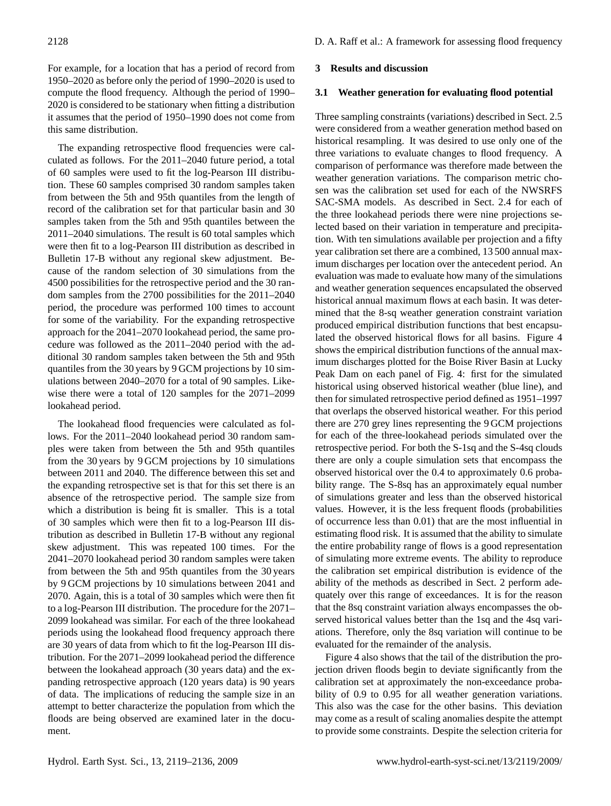For example, for a location that has a period of record from 1950–2020 as before only the period of 1990–2020 is used to compute the flood frequency. Although the period of 1990– 2020 is considered to be stationary when fitting a distribution it assumes that the period of 1950–1990 does not come from this same distribution.

The expanding retrospective flood frequencies were calculated as follows. For the 2011–2040 future period, a total of 60 samples were used to fit the log-Pearson III distribution. These 60 samples comprised 30 random samples taken from between the 5th and 95th quantiles from the length of record of the calibration set for that particular basin and 30 samples taken from the 5th and 95th quantiles between the 2011–2040 simulations. The result is 60 total samples which were then fit to a log-Pearson III distribution as described in Bulletin 17-B without any regional skew adjustment. Because of the random selection of 30 simulations from the 4500 possibilities for the retrospective period and the 30 random samples from the 2700 possibilities for the 2011–2040 period, the procedure was performed 100 times to account for some of the variability. For the expanding retrospective approach for the 2041–2070 lookahead period, the same procedure was followed as the 2011–2040 period with the additional 30 random samples taken between the 5th and 95th quantiles from the 30 years by 9 GCM projections by 10 simulations between 2040–2070 for a total of 90 samples. Likewise there were a total of 120 samples for the 2071–2099 lookahead period.

The lookahead flood frequencies were calculated as follows. For the 2011–2040 lookahead period 30 random samples were taken from between the 5th and 95th quantiles from the 30 years by 9 GCM projections by 10 simulations between 2011 and 2040. The difference between this set and the expanding retrospective set is that for this set there is an absence of the retrospective period. The sample size from which a distribution is being fit is smaller. This is a total of 30 samples which were then fit to a log-Pearson III distribution as described in Bulletin 17-B without any regional skew adjustment. This was repeated 100 times. For the 2041–2070 lookahead period 30 random samples were taken from between the 5th and 95th quantiles from the 30 years by 9 GCM projections by 10 simulations between 2041 and 2070. Again, this is a total of 30 samples which were then fit to a log-Pearson III distribution. The procedure for the 2071– 2099 lookahead was similar. For each of the three lookahead periods using the lookahead flood frequency approach there are 30 years of data from which to fit the log-Pearson III distribution. For the 2071–2099 lookahead period the difference between the lookahead approach (30 years data) and the expanding retrospective approach (120 years data) is 90 years of data. The implications of reducing the sample size in an attempt to better characterize the population from which the floods are being observed are examined later in the document.

#### **3 Results and discussion**

#### **3.1 Weather generation for evaluating flood potential**

Three sampling constraints (variations) described in Sect. 2.5 were considered from a weather generation method based on historical resampling. It was desired to use only one of the three variations to evaluate changes to flood frequency. A comparison of performance was therefore made between the weather generation variations. The comparison metric chosen was the calibration set used for each of the NWSRFS SAC-SMA models. As described in Sect. 2.4 for each of the three lookahead periods there were nine projections selected based on their variation in temperature and precipitation. With ten simulations available per projection and a fifty year calibration set there are a combined, 13 500 annual maximum discharges per location over the antecedent period. An evaluation was made to evaluate how many of the simulations and weather generation sequences encapsulated the observed historical annual maximum flows at each basin. It was determined that the 8-sq weather generation constraint variation produced empirical distribution functions that best encapsulated the observed historical flows for all basins. Figure 4 shows the empirical distribution functions of the annual maximum discharges plotted for the Boise River Basin at Lucky Peak Dam on each panel of Fig. 4: first for the simulated historical using observed historical weather (blue line), and then for simulated retrospective period defined as 1951–1997 that overlaps the observed historical weather. For this period there are 270 grey lines representing the 9 GCM projections for each of the three-lookahead periods simulated over the retrospective period. For both the S-1sq and the S-4sq clouds there are only a couple simulation sets that encompass the observed historical over the 0.4 to approximately 0.6 probability range. The S-8sq has an approximately equal number of simulations greater and less than the observed historical values. However, it is the less frequent floods (probabilities of occurrence less than 0.01) that are the most influential in estimating flood risk. It is assumed that the ability to simulate the entire probability range of flows is a good representation of simulating more extreme events. The ability to reproduce the calibration set empirical distribution is evidence of the ability of the methods as described in Sect. 2 perform adequately over this range of exceedances. It is for the reason that the 8sq constraint variation always encompasses the observed historical values better than the 1sq and the 4sq variations. Therefore, only the 8sq variation will continue to be evaluated for the remainder of the analysis.

Figure 4 also shows that the tail of the distribution the projection driven floods begin to deviate significantly from the calibration set at approximately the non-exceedance probability of 0.9 to 0.95 for all weather generation variations. This also was the case for the other basins. This deviation may come as a result of scaling anomalies despite the attempt to provide some constraints. Despite the selection criteria for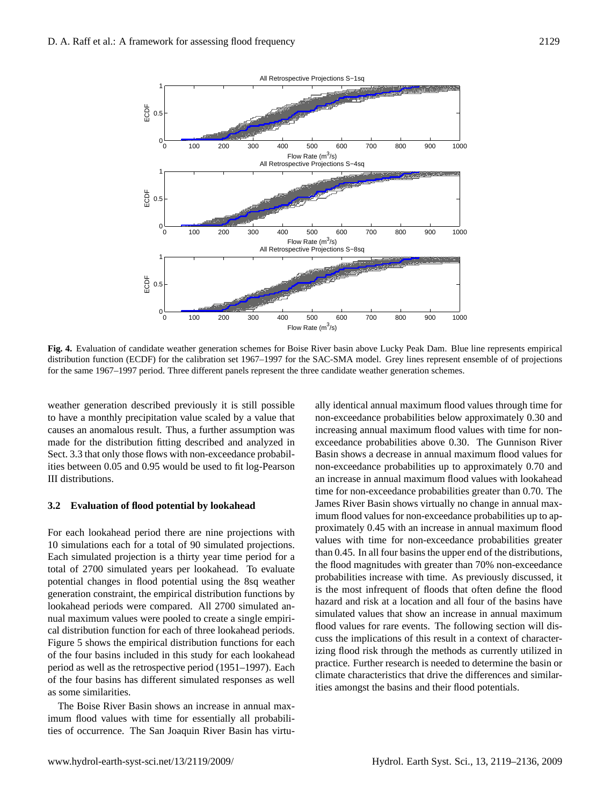

**Fig. 4.** Evaluation of candidate weather generation schemes for Boise River basin above Lucky Peak Dam. Blue line represents empirical distribution function (ECDF) for the calibration set 1967–1997 for the SAC-SMA model. Grey lines represent ensemble of of projections for the same 1967–1997 period. Three different panels represent the three candidate weather generation schemes.

weather generation described previously it is still possible to have a monthly precipitation value scaled by a value that causes an anomalous result. Thus, a further assumption was made for the distribution fitting described and analyzed in Sect. 3.3 that only those flows with non-exceedance probabilities between 0.05 and 0.95 would be used to fit log-Pearson III distributions.

## **3.2 Evaluation of flood potential by lookahead**

For each lookahead period there are nine projections with 10 simulations each for a total of 90 simulated projections. Each simulated projection is a thirty year time period for a total of 2700 simulated years per lookahead. To evaluate potential changes in flood potential using the 8sq weather generation constraint, the empirical distribution functions by lookahead periods were compared. All 2700 simulated annual maximum values were pooled to create a single empirical distribution function for each of three lookahead periods. Figure 5 shows the empirical distribution functions for each of the four basins included in this study for each lookahead period as well as the retrospective period (1951–1997). Each of the four basins has different simulated responses as well as some similarities.

The Boise River Basin shows an increase in annual maximum flood values with time for essentially all probabilities of occurrence. The San Joaquin River Basin has virtually identical annual maximum flood values through time for non-exceedance probabilities below approximately 0.30 and increasing annual maximum flood values with time for nonexceedance probabilities above 0.30. The Gunnison River Basin shows a decrease in annual maximum flood values for non-exceedance probabilities up to approximately 0.70 and an increase in annual maximum flood values with lookahead time for non-exceedance probabilities greater than 0.70. The James River Basin shows virtually no change in annual maximum flood values for non-exceedance probabilities up to approximately 0.45 with an increase in annual maximum flood values with time for non-exceedance probabilities greater than 0.45. In all four basins the upper end of the distributions, the flood magnitudes with greater than 70% non-exceedance probabilities increase with time. As previously discussed, it is the most infrequent of floods that often define the flood hazard and risk at a location and all four of the basins have simulated values that show an increase in annual maximum flood values for rare events. The following section will discuss the implications of this result in a context of characterizing flood risk through the methods as currently utilized in practice. Further research is needed to determine the basin or climate characteristics that drive the differences and similarities amongst the basins and their flood potentials.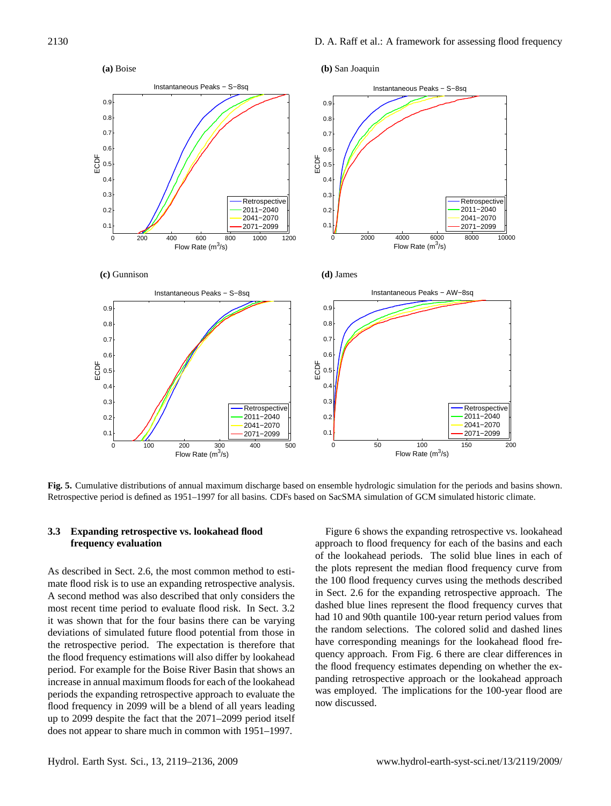

**Fig. 5.** Cumulative distributions of annual maximum discharge based on ensemble hydrologic simulation for the periods and basins shown. Retrospective period is defined as 1951–1997 for all basins. CDFs based on SacSMA simulation of GCM simulated historic climate.

## **3.3 Expanding retrospective vs. lookahead flood frequency evaluation**

As described in Sect. 2.6, the most common method to estimate flood risk is to use an expanding retrospective analysis. A second method was also described that only considers the most recent time period to evaluate flood risk. In Sect. 3.2 it was shown that for the four basins there can be varying deviations of simulated future flood potential from those in the retrospective period. The expectation is therefore that the flood frequency estimations will also differ by lookahead period. For example for the Boise River Basin that shows an increase in annual maximum floods for each of the lookahead periods the expanding retrospective approach to evaluate the flood frequency in 2099 will be a blend of all years leading up to 2099 despite the fact that the 2071–2099 period itself does not appear to share much in common with 1951–1997.

Figure 6 shows the expanding retrospective vs. lookahead approach to flood frequency for each of the basins and each of the lookahead periods. The solid blue lines in each of the plots represent the median flood frequency curve from the 100 flood frequency curves using the methods described in Sect. 2.6 for the expanding retrospective approach. The dashed blue lines represent the flood frequency curves that had 10 and 90th quantile 100-year return period values from the random selections. The colored solid and dashed lines have corresponding meanings for the lookahead flood frequency approach. From Fig. 6 there are clear differences in the flood frequency estimates depending on whether the expanding retrospective approach or the lookahead approach was employed. The implications for the 100-year flood are now discussed.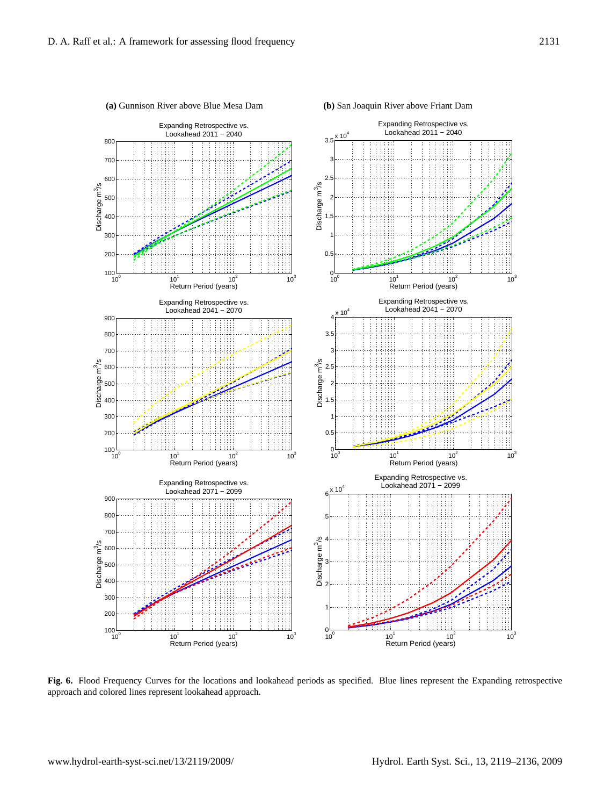

## **(a)** Gunnison River above Blue Mesa Dam **(b)** San Joaquin River above Friant Dam

**Fig. 6.** Flood Frequency Curves for the locations and lookahead periods as specified. Blue lines represent the Expanding retrospective approach and colored lines represent lookahead approach.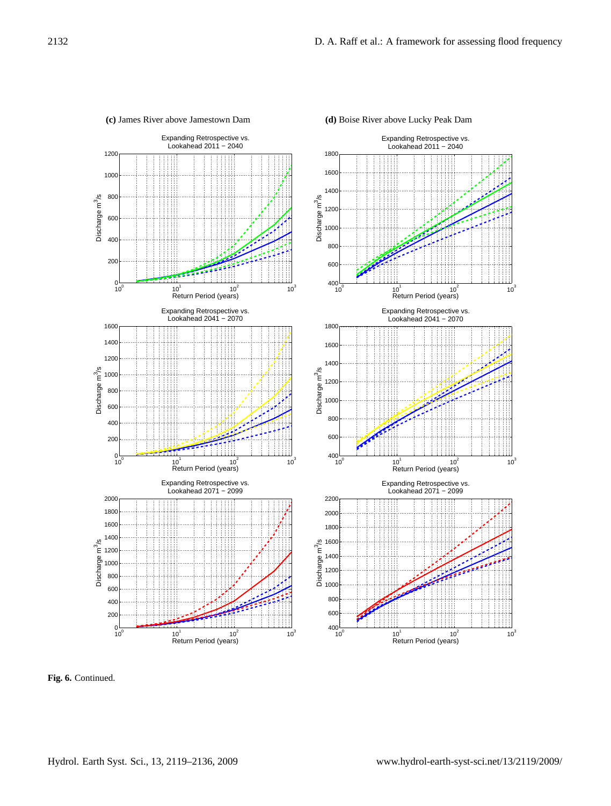

**Fig. 6.** Continued.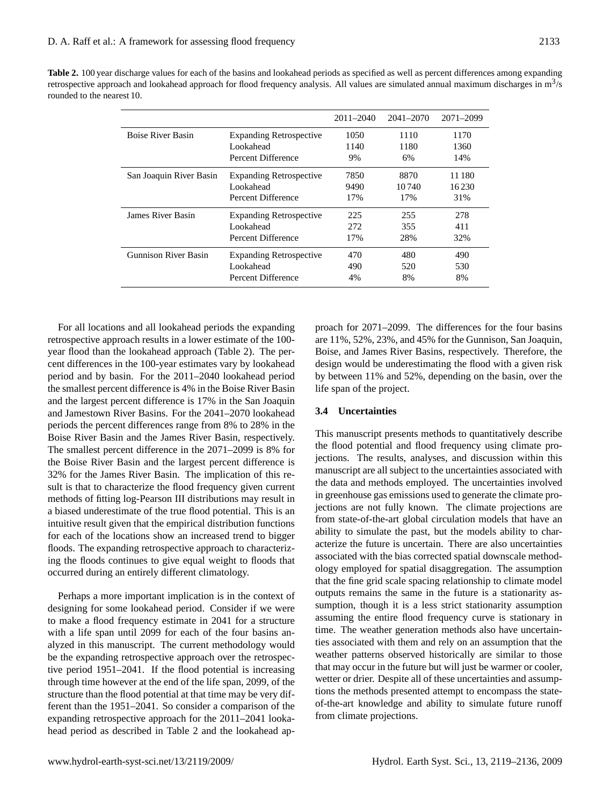**Table 2.** 100 year discharge values for each of the basins and lookahead periods as specified as well as percent differences among expanding retrospective approach and lookahead approach for flood frequency analysis. All values are simulated annual maximum discharges in  $m^3/s$ rounded to the nearest 10.

|                          |                                | $2011 - 2040$ | $2041 - 2070$ | 2071-2099 |
|--------------------------|--------------------------------|---------------|---------------|-----------|
| <b>Boise River Basin</b> | <b>Expanding Retrospective</b> | 1050          | 1110          | 1170      |
|                          | Lookahead                      | 1140          | 1180          | 1360      |
|                          | Percent Difference             | 9%            | 6%            | 14%       |
| San Joaquin River Basin  | <b>Expanding Retrospective</b> | 7850          | 8870          | 11 180    |
|                          | Lookahead                      | 9490          | 10.740        | 16230     |
|                          | Percent Difference             | 17%           | 17%           | 31%       |
| <b>James River Basin</b> | <b>Expanding Retrospective</b> | 225           | 255           | 278       |
|                          | Lookahead                      | 272           | 355           | 411       |
|                          | Percent Difference             | 17%           | 28%           | 32%       |
| Gunnison River Basin     | <b>Expanding Retrospective</b> | 470           | 480           | 490       |
|                          | Lookahead                      | 490           | 520           | 530       |
|                          | Percent Difference             | 4%            | 8%            | 8%        |

For all locations and all lookahead periods the expanding retrospective approach results in a lower estimate of the 100 year flood than the lookahead approach (Table 2). The percent differences in the 100-year estimates vary by lookahead period and by basin. For the 2011–2040 lookahead period the smallest percent difference is 4% in the Boise River Basin and the largest percent difference is 17% in the San Joaquin and Jamestown River Basins. For the 2041–2070 lookahead periods the percent differences range from 8% to 28% in the Boise River Basin and the James River Basin, respectively. The smallest percent difference in the 2071–2099 is 8% for the Boise River Basin and the largest percent difference is 32% for the James River Basin. The implication of this result is that to characterize the flood frequency given current methods of fitting log-Pearson III distributions may result in a biased underestimate of the true flood potential. This is an intuitive result given that the empirical distribution functions for each of the locations show an increased trend to bigger floods. The expanding retrospective approach to characterizing the floods continues to give equal weight to floods that occurred during an entirely different climatology.

Perhaps a more important implication is in the context of designing for some lookahead period. Consider if we were to make a flood frequency estimate in 2041 for a structure with a life span until 2099 for each of the four basins analyzed in this manuscript. The current methodology would be the expanding retrospective approach over the retrospective period 1951–2041. If the flood potential is increasing through time however at the end of the life span, 2099, of the structure than the flood potential at that time may be very different than the 1951–2041. So consider a comparison of the expanding retrospective approach for the 2011–2041 lookahead period as described in Table 2 and the lookahead approach for 2071–2099. The differences for the four basins are 11%, 52%, 23%, and 45% for the Gunnison, San Joaquin, Boise, and James River Basins, respectively. Therefore, the design would be underestimating the flood with a given risk by between 11% and 52%, depending on the basin, over the life span of the project.

## **3.4 Uncertainties**

This manuscript presents methods to quantitatively describe the flood potential and flood frequency using climate projections. The results, analyses, and discussion within this manuscript are all subject to the uncertainties associated with the data and methods employed. The uncertainties involved in greenhouse gas emissions used to generate the climate projections are not fully known. The climate projections are from state-of-the-art global circulation models that have an ability to simulate the past, but the models ability to characterize the future is uncertain. There are also uncertainties associated with the bias corrected spatial downscale methodology employed for spatial disaggregation. The assumption that the fine grid scale spacing relationship to climate model outputs remains the same in the future is a stationarity assumption, though it is a less strict stationarity assumption assuming the entire flood frequency curve is stationary in time. The weather generation methods also have uncertainties associated with them and rely on an assumption that the weather patterns observed historically are similar to those that may occur in the future but will just be warmer or cooler, wetter or drier. Despite all of these uncertainties and assumptions the methods presented attempt to encompass the stateof-the-art knowledge and ability to simulate future runoff from climate projections.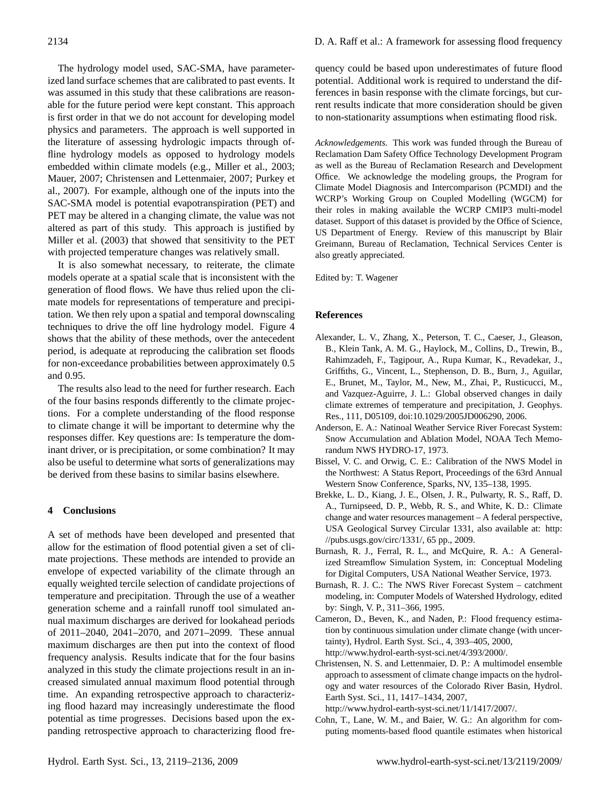The hydrology model used, SAC-SMA, have parameterized land surface schemes that are calibrated to past events. It was assumed in this study that these calibrations are reasonable for the future period were kept constant. This approach is first order in that we do not account for developing model physics and parameters. The approach is well supported in the literature of assessing hydrologic impacts through offline hydrology models as opposed to hydrology models embedded within climate models (e.g., Miller et al., 2003; Mauer, 2007; Christensen and Lettenmaier, 2007; Purkey et al., 2007). For example, although one of the inputs into the SAC-SMA model is potential evapotranspiration (PET) and PET may be altered in a changing climate, the value was not altered as part of this study. This approach is justified by Miller et al. (2003) that showed that sensitivity to the PET with projected temperature changes was relatively small.

It is also somewhat necessary, to reiterate, the climate models operate at a spatial scale that is inconsistent with the generation of flood flows. We have thus relied upon the climate models for representations of temperature and precipitation. We then rely upon a spatial and temporal downscaling techniques to drive the off line hydrology model. Figure 4 shows that the ability of these methods, over the antecedent period, is adequate at reproducing the calibration set floods for non-exceedance probabilities between approximately 0.5 and 0.95.

The results also lead to the need for further research. Each of the four basins responds differently to the climate projections. For a complete understanding of the flood response to climate change it will be important to determine why the responses differ. Key questions are: Is temperature the dominant driver, or is precipitation, or some combination? It may also be useful to determine what sorts of generalizations may be derived from these basins to similar basins elsewhere.

## **4 Conclusions**

A set of methods have been developed and presented that allow for the estimation of flood potential given a set of climate projections. These methods are intended to provide an envelope of expected variability of the climate through an equally weighted tercile selection of candidate projections of temperature and precipitation. Through the use of a weather generation scheme and a rainfall runoff tool simulated annual maximum discharges are derived for lookahead periods of 2011–2040, 2041–2070, and 2071–2099. These annual maximum discharges are then put into the context of flood frequency analysis. Results indicate that for the four basins analyzed in this study the climate projections result in an increased simulated annual maximum flood potential through time. An expanding retrospective approach to characterizing flood hazard may increasingly underestimate the flood potential as time progresses. Decisions based upon the expanding retrospective approach to characterizing flood fre-

quency could be based upon underestimates of future flood potential. Additional work is required to understand the differences in basin response with the climate forcings, but current results indicate that more consideration should be given to non-stationarity assumptions when estimating flood risk.

*Acknowledgements.* This work was funded through the Bureau of Reclamation Dam Safety Office Technology Development Program as well as the Bureau of Reclamation Research and Development Office. We acknowledge the modeling groups, the Program for Climate Model Diagnosis and Intercomparison (PCMDI) and the WCRP's Working Group on Coupled Modelling (WGCM) for their roles in making available the WCRP CMIP3 multi-model dataset. Support of this dataset is provided by the Office of Science, US Department of Energy. Review of this manuscript by Blair Greimann, Bureau of Reclamation, Technical Services Center is also greatly appreciated.

Edited by: T. Wagener

## **References**

- Alexander, L. V., Zhang, X., Peterson, T. C., Caeser, J., Gleason, B., Klein Tank, A. M. G., Haylock, M., Collins, D., Trewin, B., Rahimzadeh, F., Tagipour, A., Rupa Kumar, K., Revadekar, J., Griffiths, G., Vincent, L., Stephenson, D. B., Burn, J., Aguilar, E., Brunet, M., Taylor, M., New, M., Zhai, P., Rusticucci, M., and Vazquez-Aguirre, J. L.: Global observed changes in daily climate extremes of temperature and precipitation, J. Geophys. Res., 111, D05109, doi:10.1029/2005JD006290, 2006.
- Anderson, E. A.: Natinoal Weather Service River Forecast System: Snow Accumulation and Ablation Model, NOAA Tech Memorandum NWS HYDRO-17, 1973.
- Bissel, V. C. and Orwig, C. E.: Calibration of the NWS Model in the Northwest: A Status Report, Proceedings of the 63rd Annual Western Snow Conference, Sparks, NV, 135–138, 1995.
- Brekke, L. D., Kiang, J. E., Olsen, J. R., Pulwarty, R. S., Raff, D. A., Turnipseed, D. P., Webb, R. S., and White, K. D.: Climate change and water resources management – A federal perspective, USA Geological Survey Circular 1331, also available at: [http:](http://pubs.usgs.gov/circ/1331/) [//pubs.usgs.gov/circ/1331/,](http://pubs.usgs.gov/circ/1331/) 65 pp., 2009.
- Burnash, R. J., Ferral, R. L., and McQuire, R. A.: A Generalized Streamflow Simulation System, in: Conceptual Modeling for Digital Computers, USA National Weather Service, 1973.
- Burnash, R. J. C.: The NWS River Forecast System catchment modeling, in: Computer Models of Watershed Hydrology, edited by: Singh, V. P., 311–366, 1995.
- Cameron, D., Beven, K., and Naden, P.: Flood frequency estimation by continuous simulation under climate change (with uncertainty), Hydrol. Earth Syst. Sci., 4, 393–405, 2000, [http://www.hydrol-earth-syst-sci.net/4/393/2000/.](http://www.hydrol-earth-syst-sci.net/4/393/2000/)
- Christensen, N. S. and Lettenmaier, D. P.: A multimodel ensemble approach to assessment of climate change impacts on the hydrology and water resources of the Colorado River Basin, Hydrol. Earth Syst. Sci., 11, 1417–1434, 2007,

[http://www.hydrol-earth-syst-sci.net/11/1417/2007/.](http://www.hydrol-earth-syst-sci.net/11/1417/2007/)

Cohn, T., Lane, W. M., and Baier, W. G.: An algorithm for computing moments-based flood quantile estimates when historical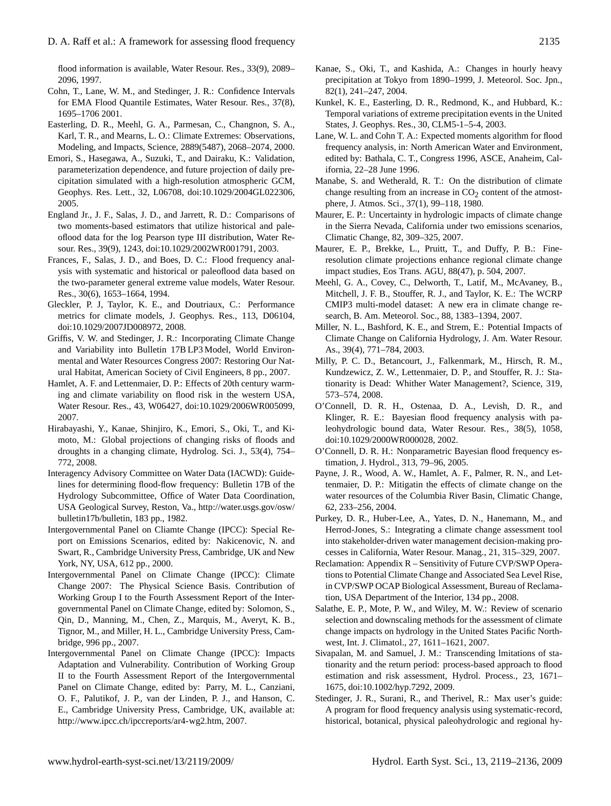flood information is available, Water Resour. Res., 33(9), 2089– 2096, 1997.

- Cohn, T., Lane, W. M., and Stedinger, J. R.: Confidence Intervals for EMA Flood Quantile Estimates, Water Resour. Res., 37(8), 1695–1706 2001.
- Easterling, D. R., Meehl, G. A., Parmesan, C., Changnon, S. A., Karl, T. R., and Mearns, L. O.: Climate Extremes: Observations, Modeling, and Impacts, Science, 2889(5487), 2068–2074, 2000.
- Emori, S., Hasegawa, A., Suzuki, T., and Dairaku, K.: Validation, parameterization dependence, and future projection of daily precipitation simulated with a high-resolution atmospheric GCM, Geophys. Res. Lett., 32, L06708, doi:10.1029/2004GL022306, 2005.
- England Jr., J. F., Salas, J. D., and Jarrett, R. D.: Comparisons of two moments-based estimators that utilize historical and paleoflood data for the log Pearson type III distribution, Water Resour. Res., 39(9), 1243, doi:10.1029/2002WR001791, 2003.
- Frances, F., Salas, J. D., and Boes, D. C.: Flood frequency analysis with systematic and historical or paleoflood data based on the two-parameter general extreme value models, Water Resour. Res., 30(6), 1653–1664, 1994.
- Gleckler, P. J, Taylor, K. E., and Doutriaux, C.: Performance metrics for climate models, J. Geophys. Res., 113, D06104, doi:10.1029/2007JD008972, 2008.
- Griffis, V. W. and Stedinger, J. R.: Incorporating Climate Change and Variability into Bulletin 17B LP3 Model, World Environmental and Water Resources Congress 2007: Restoring Our Natural Habitat, American Society of Civil Engineers, 8 pp., 2007.
- Hamlet, A. F. and Lettenmaier, D. P.: Effects of 20th century warming and climate variability on flood risk in the western USA, Water Resour. Res., 43, W06427, doi:10.1029/2006WR005099, 2007.
- Hirabayashi, Y., Kanae, Shinjiro, K., Emori, S., Oki, T., and Kimoto, M.: Global projections of changing risks of floods and droughts in a changing climate, Hydrolog. Sci. J., 53(4), 754– 772, 2008.
- Interagency Advisory Committee on Water Data (IACWD): Guidelines for determining flood-flow frequency: Bulletin 17B of the Hydrology Subcommittee, Office of Water Data Coordination, USA Geological Survey, Reston, Va., [http://water.usgs.gov/osw/](http://water.usgs.gov/osw/bulletin17b/bulletin) [bulletin17b/bulletin,](http://water.usgs.gov/osw/bulletin17b/bulletin) 183 pp., 1982.
- Intergovernmental Panel on Cliamte Change (IPCC): Special Report on Emissions Scenarios, edited by: Nakicenovic, N. and Swart, R., Cambridge University Press, Cambridge, UK and New York, NY, USA, 612 pp., 2000.
- Intergovernmental Panel on Climate Change (IPCC): Climate Change 2007: The Physical Science Basis. Contribution of Working Group I to the Fourth Assessment Report of the Intergovernmental Panel on Climate Change, edited by: Solomon, S., Qin, D., Manning, M., Chen, Z., Marquis, M., Averyt, K. B., Tignor, M., and Miller, H. L., Cambridge University Press, Cambridge, 996 pp., 2007.
- Intergovernmental Panel on Climate Change (IPCC): Impacts Adaptation and Vulnerability. Contribution of Working Group II to the Fourth Assessment Report of the Intergovernmental Panel on Climate Change, edited by: Parry, M. L., Canziani, O. F., Palutikof, J. P., van der Linden, P. J., and Hanson, C. E., Cambridge University Press, Cambridge, UK, available at: [http://www.ipcc.ch/ipccreports/ar4-wg2.htm,](http://www.ipcc.ch/ipccreports/ar4-wg2.htm) 2007.
- Kanae, S., Oki, T., and Kashida, A.: Changes in hourly heavy precipitation at Tokyo from 1890–1999, J. Meteorol. Soc. Jpn., 82(1), 241–247, 2004.
- Kunkel, K. E., Easterling, D. R., Redmond, K., and Hubbard, K.: Temporal variations of extreme precipitation events in the United States, J. Geophys. Res., 30, CLM5-1–5-4, 2003.
- Lane, W. L. and Cohn T. A.: Expected moments algorithm for flood frequency analysis, in: North American Water and Environment, edited by: Bathala, C. T., Congress 1996, ASCE, Anaheim, California, 22–28 June 1996.
- Manabe, S. and Wetherald, R. T.: On the distribution of climate change resulting from an increase in  $CO<sub>2</sub>$  content of the atmostphere, J. Atmos. Sci., 37(1), 99–118, 1980.
- Maurer, E. P.: Uncertainty in hydrologic impacts of climate change in the Sierra Nevada, California under two emissions scenarios, Climatic Change, 82, 309–325, 2007.
- Maurer, E. P., Brekke, L., Pruitt, T., and Duffy, P. B.: Fineresolution climate projections enhance regional climate change impact studies, Eos Trans. AGU, 88(47), p. 504, 2007.
- Meehl, G. A., Covey, C., Delworth, T., Latif, M., McAvaney, B., Mitchell, J. F. B., Stouffer, R. J., and Taylor, K. E.: The WCRP CMIP3 multi-model dataset: A new era in climate change research, B. Am. Meteorol. Soc., 88, 1383–1394, 2007.
- Miller, N. L., Bashford, K. E., and Strem, E.: Potential Impacts of Climate Change on California Hydrology, J. Am. Water Resour. As., 39(4), 771–784, 2003.
- Milly, P. C. D., Betancourt, J., Falkenmark, M., Hirsch, R. M., Kundzewicz, Z. W., Lettenmaier, D. P., and Stouffer, R. J.: Stationarity is Dead: Whither Water Management?, Science, 319, 573–574, 2008.
- O'Connell, D. R. H., Ostenaa, D. A., Levish, D. R., and Klinger, R. E.: Bayesian flood frequency analysis with paleohydrologic bound data, Water Resour. Res., 38(5), 1058, doi:10.1029/2000WR000028, 2002.
- O'Connell, D. R. H.: Nonparametric Bayesian flood frequency estimation, J. Hydrol., 313, 79–96, 2005.
- Payne, J. R., Wood, A. W., Hamlet, A. F., Palmer, R. N., and Lettenmaier, D. P.: Mitigatin the effects of climate change on the water resources of the Columbia River Basin, Climatic Change, 62, 233–256, 2004.
- Purkey, D. R., Huber-Lee, A., Yates, D. N., Hanemann, M., and Herrod-Jones, S.: Integrating a climate change assessment tool into stakeholder-driven water management decision-making processes in California, Water Resour. Manag., 21, 315–329, 2007.
- Reclamation: Appendix R Sensitivity of Future CVP/SWP Operations to Potential Climate Change and Associated Sea Level Rise, in CVP/SWP OCAP Biological Assessment, Bureau of Reclamation, USA Department of the Interior, 134 pp., 2008.
- Salathe, E. P., Mote, P. W., and Wiley, M. W.: Review of scenario selection and downscaling methods for the assessment of climate change impacts on hydrology in the United States Pacific Northwest, Int. J. Climatol., 27, 1611–1621, 2007.
- Sivapalan, M. and Samuel, J. M.: Transcending lmitations of stationarity and the return period: process-based approach to flood estimation and risk assessment, Hydrol. Process., 23, 1671– 1675, doi:10.1002/hyp.7292, 2009.
- Stedinger, J. R., Surani, R., and Therivel, R.: Max user's guide: A program for flood frequency analysis using systematic-record, historical, botanical, physical paleohydrologic and regional hy-